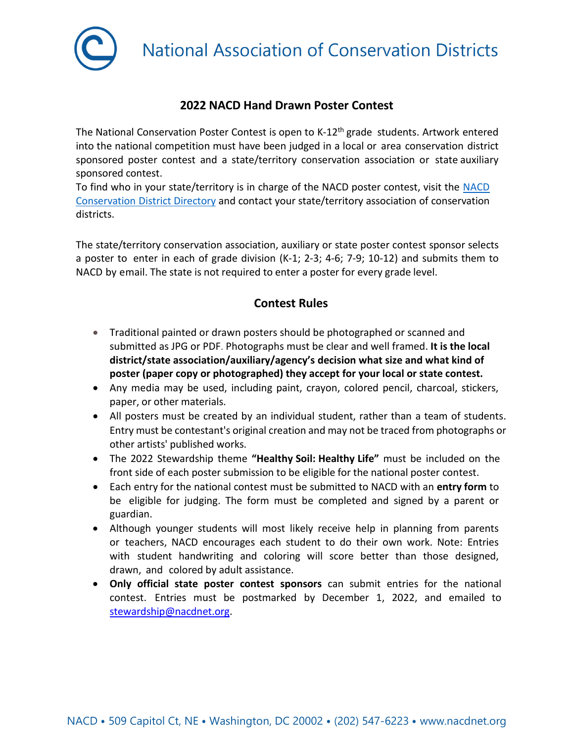

**National Association of Conservation Districts** 

## **2022 NACD Hand Drawn Poster Contest**

The National Conservation Poster Contest is open to K-12<sup>th</sup> grade students. Artwork entered into the national competition must have been judged in a local or area conservation district sponsored poster contest and a state/territory conservation association or state auxiliary sponsored contest.

To find who in your state/territory is in charge of the NACD poster contest, visit the [NACD](https://www.nacdnet.org/general-resources/conservation-district-directory/) [Conservation District](https://www.nacdnet.org/general-resources/conservation-district-directory/) Directory and contact your state/territory association of conservation districts.

The state/territory conservation association, auxiliary or state poster contest sponsor selects a poster to enter in each of grade division (K-1; 2-3; 4-6; 7-9; 10-12) and submits them to NACD by email. The state is not required to enter a poster for every grade level.

## **Contest Rules**

- Traditional painted or drawn posters should be photographed or scanned and submitted as JPG or PDF. Photographs must be clear and well framed. **It is the local district/state association/auxiliary/agency's decision what size and what kind of poster (paper copy or photographed) they accept for your local or state contest.**
- Any media may be used, including paint, crayon, colored pencil, charcoal, stickers, paper, or other materials.
- All posters must be created by an individual student, rather than a team of students. Entry must be contestant's original creation and may not be traced from photographs or other artists' published works.
- The 2022 Stewardship theme **"Healthy Soil: Healthy Life"** must be included on the front side of each poster submission to be eligible for the national poster contest.
- Each entry for the national contest must be submitted to NACD with an **entry form** to be eligible for judging. The form must be completed and signed by a parent or guardian.
- Although younger students will most likely receive help in planning from parents or teachers, NACD encourages each student to do their own work. Note: Entries with student handwriting and coloring will score better than those designed, drawn, and colored by adult assistance.
- **Only official state poster contest sponsors** can submit entries for the national contest. Entries must be postmarked by December 1, 2022, and emailed to [stewardship@nacdnet.org.](mailto:stewardship@nacdnet.org)